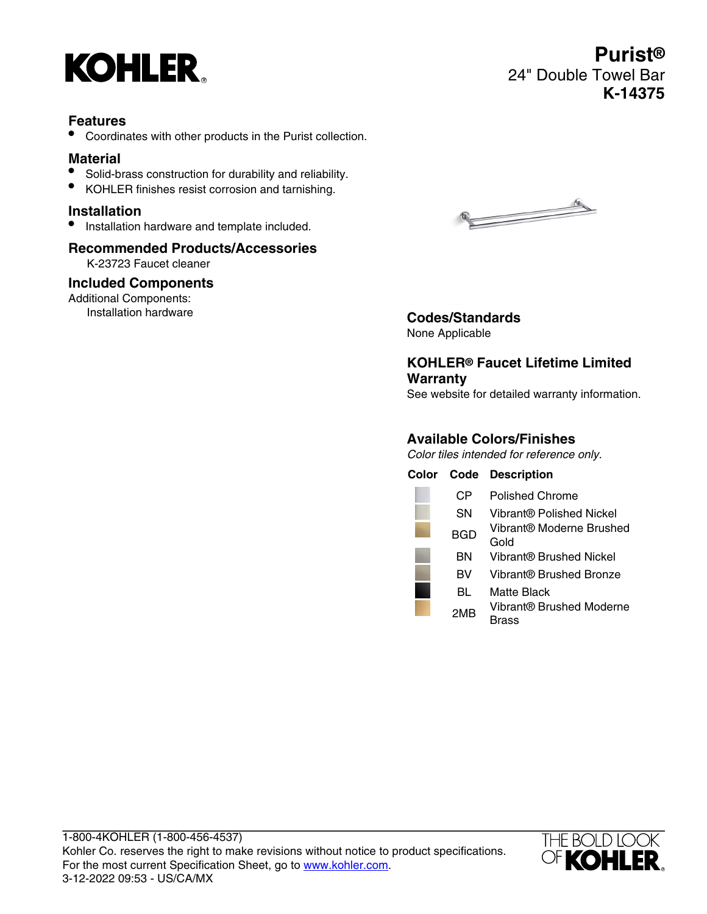

# **Features**

• Coordinates with other products in the Purist collection.

# **Material**

- Solid-brass construction for durability and reliability.
- KOHLER finishes resist corrosion and tarnishing.

### **Installation**

• Installation hardware and template included.

# **Recommended Products/Accessories**

K-23723 Faucet cleaner

#### **Included Components**

Additional Components:<br>Installation hardware



#### Installation hardware **Codes/Standards** None Applicable

# **KOHLER® Faucet Lifetime Limited Warranty**

See website for detailed warranty information.

## **Available Colors/Finishes**

Color tiles intended for reference only.

| Color |            | <b>Code Description</b>           |
|-------|------------|-----------------------------------|
|       | СP         | Polished Chrome                   |
|       | SΝ         | Vibrant® Polished Nickel          |
|       | <b>BGD</b> | Vibrant® Moderne Brushed<br>Gold  |
|       | ΒN         | Vibrant® Brushed Nickel           |
|       | вv         | Vibrant® Brushed Bronze           |
|       | BL         | Matte Black                       |
|       | 2MB        | Vibrant® Brushed Moderne<br>Brass |